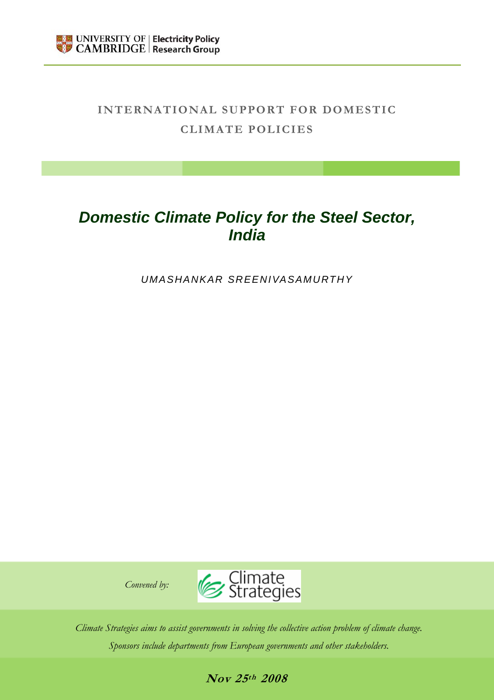

# **INTERNATIONAL SUPPORT FOR DOMESTIC CLIMATE POLICIES**

# *Domestic Climate Policy for the Steel Sector, India*

*UMASHANKAR SREENIVASAMURTHY* 





*Climate Strategies aims to assist governments in solving the collective action problem of climate change. Sponsors include departments from European governments and other stakeholders.* 

**Nov 25th 2008**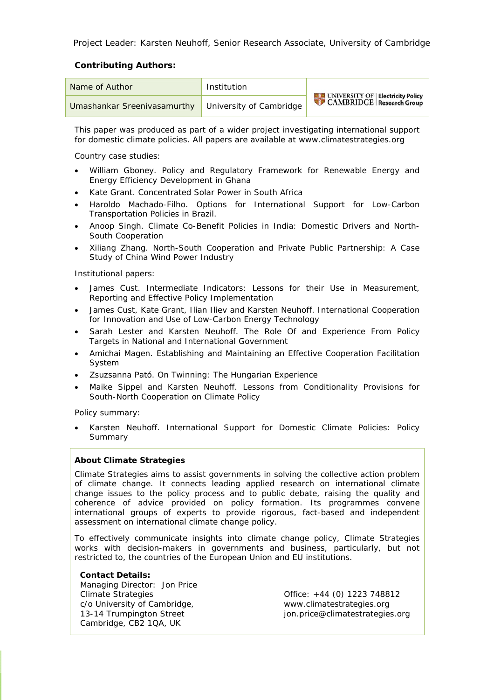Project Leader: Karsten Neuhoff, Senior Research Associate, University of Cambridge

#### **Contributing Authors:**

| Name of Author                                      | Institution |                                                                                    |
|-----------------------------------------------------|-------------|------------------------------------------------------------------------------------|
| Umashankar Sreenivasamurthy University of Cambridge |             | <b>EXAMPLE UNIVERSITY OF Electricity Policy</b><br><b>CAMBRIDGE</b> Research Group |

This paper was produced as part of a wider project investigating international support for domestic climate policies. All papers are available at www.climatestrategies.org

Country case studies:

- William Gboney. Policy and Regulatory Framework for Renewable Energy and Energy Efficiency Development in Ghana
- Kate Grant. Concentrated Solar Power in South Africa
- Haroldo Machado-Filho. Options for International Support for Low-Carbon Transportation Policies in Brazil.
- Anoop Singh. Climate Co-Benefit Policies in India: Domestic Drivers and North-South Cooperation
- Xiliang Zhang. North-South Cooperation and Private Public Partnership: A Case Study of China Wind Power Industry

Institutional papers:

- James Cust. Intermediate Indicators: Lessons for their Use in Measurement, Reporting and Effective Policy Implementation
- James Cust, Kate Grant, Ilian Iliev and Karsten Neuhoff. International Cooperation for Innovation and Use of Low-Carbon Energy Technology
- Sarah Lester and Karsten Neuhoff. The Role Of and Experience From Policy Targets in National and International Government
- Amichai Magen. Establishing and Maintaining an Effective Cooperation Facilitation System
- Zsuzsanna Pató. On Twinning: The Hungarian Experience
- Maike Sippel and Karsten Neuhoff. Lessons from Conditionality Provisions for South-North Cooperation on Climate Policy

Policy summary:

• Karsten Neuhoff. International Support for Domestic Climate Policies: Policy Summary

#### **About Climate Strategies**

Climate Strategies aims to assist governments in solving the collective action problem of climate change. It connects leading applied research on international climate change issues to the policy process and to public debate, raising the quality and coherence of advice provided on policy formation. Its programmes convene international groups of experts to provide rigorous, fact-based and independent assessment on international climate change policy.

To effectively communicate insights into climate change policy, Climate Strategies works with decision-makers in governments and business, particularly, but not restricted to, the countries of the European Union and EU institutions.

#### **Contact Details:**

 Managing Director: Jon Price c/o University of Cambridge, www.climatestrategies.org Cambridge, CB2 1QA, UK

 Climate Strategies Office: +44 (0) 1223 748812 13-14 Trumpington Street jon.price@climatestrategies.org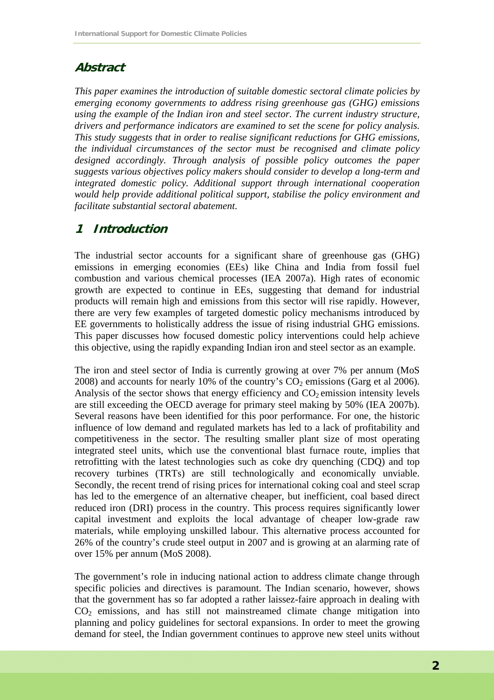## **Abstract**

*This paper examines the introduction of suitable domestic sectoral climate policies by emerging economy governments to address rising greenhouse gas (GHG) emissions using the example of the Indian iron and steel sector. The current industry structure, drivers and performance indicators are examined to set the scene for policy analysis. This study suggests that in order to realise significant reductions for GHG emissions, the individual circumstances of the sector must be recognised and climate policy designed accordingly. Through analysis of possible policy outcomes the paper suggests various objectives policy makers should consider to develop a long-term and integrated domestic policy. Additional support through international cooperation would help provide additional political support, stabilise the policy environment and facilitate substantial sectoral abatement*.

# **1 Introduction**

The industrial sector accounts for a significant share of greenhouse gas (GHG) emissions in emerging economies (EEs) like China and India from fossil fuel combustion and various chemical processes (IEA 2007a). High rates of economic growth are expected to continue in EEs, suggesting that demand for industrial products will remain high and emissions from this sector will rise rapidly. However, there are very few examples of targeted domestic policy mechanisms introduced by EE governments to holistically address the issue of rising industrial GHG emissions. This paper discusses how focused domestic policy interventions could help achieve this objective, using the rapidly expanding Indian iron and steel sector as an example.

The iron and steel sector of India is currently growing at over 7% per annum (MoS 2008) and accounts for nearly 10% of the country's  $CO<sub>2</sub>$  emissions (Garg et al 2006). Analysis of the sector shows that energy efficiency and  $CO<sub>2</sub>$  emission intensity levels are still exceeding the OECD average for primary steel making by 50% (IEA 2007b). Several reasons have been identified for this poor performance. For one, the historic influence of low demand and regulated markets has led to a lack of profitability and competitiveness in the sector. The resulting smaller plant size of most operating integrated steel units, which use the conventional blast furnace route, implies that retrofitting with the latest technologies such as coke dry quenching (CDQ) and top recovery turbines (TRTs) are still technologically and economically unviable. Secondly, the recent trend of rising prices for international coking coal and steel scrap has led to the emergence of an alternative cheaper, but inefficient, coal based direct reduced iron (DRI) process in the country. This process requires significantly lower capital investment and exploits the local advantage of cheaper low-grade raw materials, while employing unskilled labour. This alternative process accounted for 26% of the country's crude steel output in 2007 and is growing at an alarming rate of over 15% per annum (MoS 2008).

The government's role in inducing national action to address climate change through specific policies and directives is paramount. The Indian scenario, however, shows that the government has so far adopted a rather laissez-faire approach in dealing with CO2 emissions, and has still not mainstreamed climate change mitigation into planning and policy guidelines for sectoral expansions. In order to meet the growing demand for steel, the Indian government continues to approve new steel units without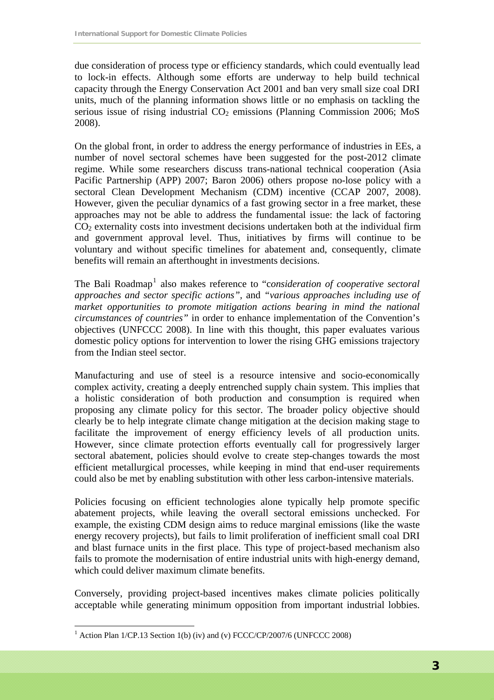due consideration of process type or efficiency standards, which could eventually lead to lock-in effects. Although some efforts are underway to help build technical capacity through the Energy Conservation Act 2001 and ban very small size coal DRI units, much of the planning information shows little or no emphasis on tackling the serious issue of rising industrial  $CO<sub>2</sub>$  emissions (Planning Commission 2006; MoS 2008).

On the global front, in order to address the energy performance of industries in EEs, a number of novel sectoral schemes have been suggested for the post-2012 climate regime. While some researchers discuss trans-national technical cooperation (Asia Pacific Partnership (APP) 2007; Baron 2006) others propose no-lose policy with a sectoral Clean Development Mechanism (CDM) incentive (CCAP 2007, 2008). However, given the peculiar dynamics of a fast growing sector in a free market, these approaches may not be able to address the fundamental issue: the lack of factoring  $CO<sub>2</sub>$  externality costs into investment decisions undertaken both at the individual firm and government approval level. Thus, initiatives by firms will continue to be voluntary and without specific timelines for abatement and, consequently, climate benefits will remain an afterthought in investments decisions.

The Bali Roadmap<sup>[1](#page-3-0)</sup> also makes reference to "consideration of cooperative sectoral *approaches and sector specific actions",* and *"various approaches including use of market opportunities to promote mitigation actions bearing in mind the national circumstances of countries"* in order to enhance implementation of the Convention's objectives (UNFCCC 2008). In line with this thought, this paper evaluates various domestic policy options for intervention to lower the rising GHG emissions trajectory from the Indian steel sector.

Manufacturing and use of steel is a resource intensive and socio-economically complex activity, creating a deeply entrenched supply chain system. This implies that a holistic consideration of both production and consumption is required when proposing any climate policy for this sector. The broader policy objective should clearly be to help integrate climate change mitigation at the decision making stage to facilitate the improvement of energy efficiency levels of all production units. However, since climate protection efforts eventually call for progressively larger sectoral abatement, policies should evolve to create step-changes towards the most efficient metallurgical processes, while keeping in mind that end-user requirements could also be met by enabling substitution with other less carbon-intensive materials.

Policies focusing on efficient technologies alone typically help promote specific abatement projects, while leaving the overall sectoral emissions unchecked. For example, the existing CDM design aims to reduce marginal emissions (like the waste energy recovery projects), but fails to limit proliferation of inefficient small coal DRI and blast furnace units in the first place. This type of project-based mechanism also fails to promote the modernisation of entire industrial units with high-energy demand, which could deliver maximum climate benefits.

Conversely, providing project-based incentives makes climate policies politically acceptable while generating minimum opposition from important industrial lobbies.

<span id="page-3-0"></span><sup>&</sup>lt;sup>1</sup> Action Plan 1/CP.13 Section 1(b) (iv) and (v) FCCC/CP/2007/6 (UNFCCC 2008)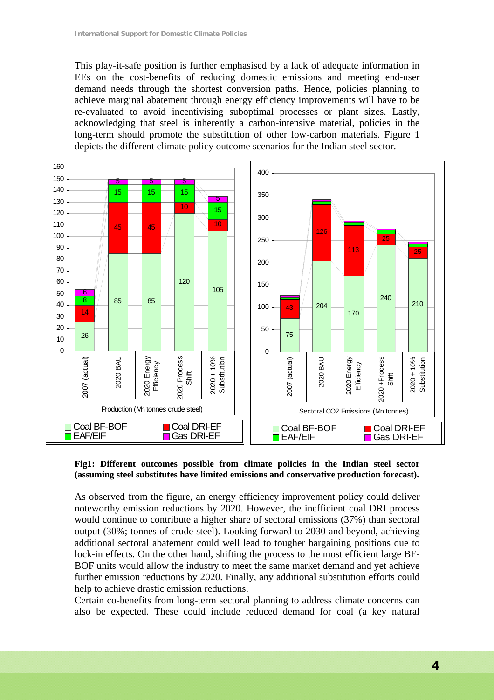This play-it-safe position is further emphasised by a lack of adequate information in EEs on the cost-benefits of reducing domestic emissions and meeting end-user demand needs through the shortest conversion paths. Hence, policies planning to achieve marginal abatement through energy efficiency improvements will have to be re-evaluated to avoid incentivising suboptimal processes or plant sizes. Lastly, acknowledging that steel is inherently a carbon-intensive material, policies in the long-term should promote the substitution of other low-carbon materials. Figure 1 depicts the different climate policy outcome scenarios for the Indian steel sector.



#### **Fig1: Different outcomes possible from climate policies in the Indian steel sector (assuming steel substitutes have limited emissions and conservative production forecast).**

As observed from the figure, an energy efficiency improvement policy could deliver noteworthy emission reductions by 2020. However, the inefficient coal DRI process would continue to contribute a higher share of sectoral emissions (37%) than sectoral output (30%; tonnes of crude steel). Looking forward to 2030 and beyond, achieving additional sectoral abatement could well lead to tougher bargaining positions due to lock-in effects. On the other hand, shifting the process to the most efficient large BF-BOF units would allow the industry to meet the same market demand and yet achieve further emission reductions by 2020. Finally, any additional substitution efforts could help to achieve drastic emission reductions.

Certain co-benefits from long-term sectoral planning to address climate concerns can also be expected. These could include reduced demand for coal (a key natural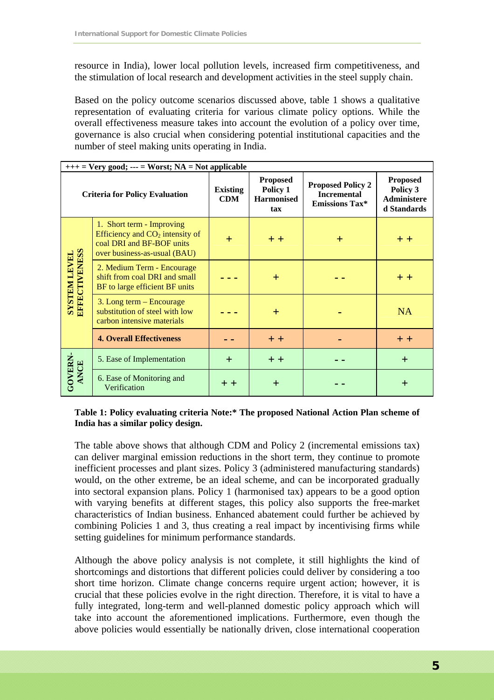resource in India), lower local pollution levels, increased firm competitiveness, and the stimulation of local research and development activities in the steel supply chain.

Based on the policy outcome scenarios discussed above, table 1 shows a qualitative representation of evaluating criteria for various climate policy options. While the overall effectiveness measure takes into account the evolution of a policy over time, governance is also crucial when considering potential institutional capacities and the number of steel making units operating in India.

| $++$ = very good; --- = vvorst; $NA$ = Not applicable |                                                                                                                             |                               |                                                         |                                                                         |                                                                  |
|-------------------------------------------------------|-----------------------------------------------------------------------------------------------------------------------------|-------------------------------|---------------------------------------------------------|-------------------------------------------------------------------------|------------------------------------------------------------------|
|                                                       | <b>Criteria for Policy Evaluation</b>                                                                                       | <b>Existing</b><br><b>CDM</b> | <b>Proposed</b><br>Policy 1<br><b>Harmonised</b><br>tax | <b>Proposed Policy 2</b><br><b>Incremental</b><br><b>Emissions Tax*</b> | <b>Proposed</b><br>Policy 3<br><b>Administere</b><br>d Standards |
|                                                       | 1. Short term - Improving<br>Efficiency and $CO2$ intensity of<br>coal DRI and BF-BOF units<br>over business-as-usual (BAU) | $\pm$                         | $+ +$                                                   | ┿                                                                       | $+ +$                                                            |
| <b>SYSTEM LEVEL<br/>EFFECTIVENESS</b>                 | 2. Medium Term - Encourage<br>shift from coal DRI and small<br>BF to large efficient BF units                               |                               | $^{+}$                                                  |                                                                         | $+ +$                                                            |
|                                                       | 3. Long term – Encourage<br>substitution of steel with low<br>carbon intensive materials                                    |                               | $\pm$                                                   |                                                                         | <b>NA</b>                                                        |
|                                                       | <b>4. Overall Effectiveness</b>                                                                                             |                               | $+ +$                                                   |                                                                         | $+ +$                                                            |
|                                                       | 5. Ease of Implementation                                                                                                   | $+$                           | $+ +$                                                   |                                                                         | $+$                                                              |
| GOVERN-<br>ANCE                                       | 6. Ease of Monitoring and<br>Verification                                                                                   | $+ +$                         | $\pm$                                                   |                                                                         | $\pm$                                                            |

### $\frac{1}{\sqrt{N+1}}$  = Very good;  $\frac{1}{\sqrt{N+1}}$  = Worst; NA = Net applicable

#### **Table 1: Policy evaluating criteria Note:\* The proposed National Action Plan scheme of India has a similar policy design.**

The table above shows that although CDM and Policy 2 (incremental emissions tax) can deliver marginal emission reductions in the short term, they continue to promote inefficient processes and plant sizes. Policy 3 (administered manufacturing standards) would, on the other extreme, be an ideal scheme, and can be incorporated gradually into sectoral expansion plans. Policy 1 (harmonised tax) appears to be a good option with varying benefits at different stages, this policy also supports the free-market characteristics of Indian business. Enhanced abatement could further be achieved by combining Policies 1 and 3, thus creating a real impact by incentivising firms while setting guidelines for minimum performance standards.

Although the above policy analysis is not complete, it still highlights the kind of shortcomings and distortions that different policies could deliver by considering a too short time horizon. Climate change concerns require urgent action; however, it is crucial that these policies evolve in the right direction. Therefore, it is vital to have a fully integrated, long-term and well-planned domestic policy approach which will take into account the aforementioned implications. Furthermore, even though the above policies would essentially be nationally driven, close international cooperation  $\overline{\mathsf{I}}$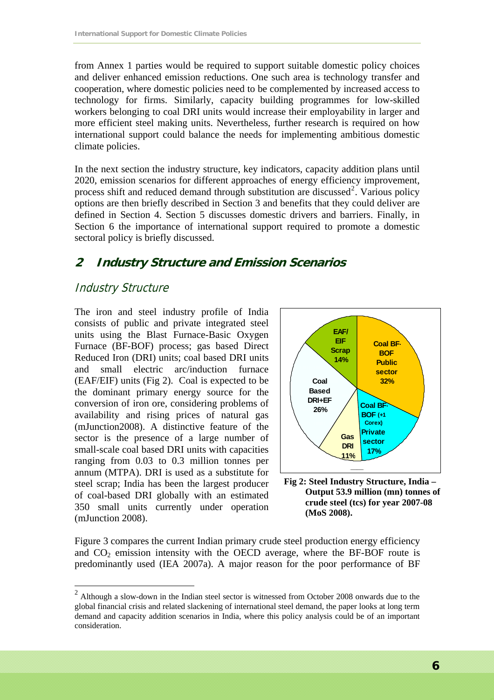from Annex 1 parties would be required to support suitable domestic policy choices and deliver enhanced emission reductions. One such area is technology transfer and cooperation, where domestic policies need to be complemented by increased access to technology for firms. Similarly, capacity building programmes for low-skilled workers belonging to coal DRI units would increase their employability in larger and more efficient steel making units. Nevertheless, further research is required on how international support could balance the needs for implementing ambitious domestic climate policies.

In the next section the industry structure, key indicators, capacity addition plans until 2020, emission scenarios for different approaches of energy efficiency improvement, process shift and reduced demand through substitution are discussed<sup>[2](#page-6-0)</sup>. Various policy options are then briefly described in Section 3 and benefits that they could deliver are defined in Section 4. Section 5 discusses domestic drivers and barriers. Finally, in Section 6 the importance of international support required to promote a domestic sectoral policy is briefly discussed.

### **2 Industry Structure and Emission Scenarios**

### Industry Structure

 $\overline{a}$ 

The iron and steel industry profile of India consists of public and private integrated steel units using the Blast Furnace-Basic Oxygen Furnace (BF-BOF) process; gas based Direct Reduced Iron (DRI) units; coal based DRI units and small electric arc/induction furnace (EAF/EIF) units (Fig 2). Coal is expected to be the dominant primary energy source for the conversion of iron ore, considering problems of availability and rising prices of natural gas (mJunction2008). A distinctive feature of the sector is the presence of a large number of small-scale coal based DRI units with capacities ranging from 0.03 to 0.3 million tonnes per annum (MTPA). DRI is used as a substitute for steel scrap; India has been the largest producer of coal-based DRI globally with an estimated 350 small units currently under operation (mJunction 2008).



**Fig 2: Steel Industry Structure, India – Output 53.9 million (mn) tonnes of crude steel (tcs) for year 2007-08 (MoS 2008).** 

Figure 3 compares the current Indian primary crude steel production energy efficiency and  $CO<sub>2</sub>$  emission intensity with the OECD average, where the BF-BOF route is predominantly used (IEA 2007a). A major reason for the poor performance of BF

<span id="page-6-0"></span> $2$  Although a slow-down in the Indian steel sector is witnessed from October 2008 onwards due to the global financial crisis and related slackening of international steel demand, the paper looks at long term demand and capacity addition scenarios in India, where this policy analysis could be of an important consideration.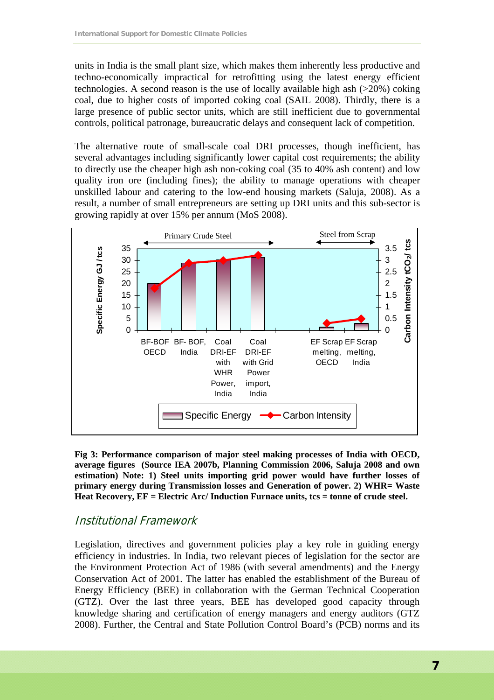units in India is the small plant size, which makes them inherently less productive and techno-economically impractical for retrofitting using the latest energy efficient technologies. A second reason is the use of locally available high ash (>20%) coking coal, due to higher costs of imported coking coal (SAIL 2008). Thirdly, there is a large presence of public sector units, which are still inefficient due to governmental controls, political patronage, bureaucratic delays and consequent lack of competition.

The alternative route of small-scale coal DRI processes, though inefficient, has several advantages including significantly lower capital cost requirements; the ability to directly use the cheaper high ash non-coking coal (35 to 40% ash content) and low quality iron ore (including fines); the ability to manage operations with cheaper unskilled labour and catering to the low-end housing markets (Saluja, 2008). As a result, a number of small entrepreneurs are setting up DRI units and this sub-sector is growing rapidly at over 15% per annum (MoS 2008).



**Fig 3: Performance comparison of major steel making processes of India with OECD, average figures (Source IEA 2007b, Planning Commission 2006, Saluja 2008 and own estimation) Note: 1) Steel units importing grid power would have further losses of primary energy during Transmission losses and Generation of power. 2) WHR= Waste Heat Recovery, EF = Electric Arc/ Induction Furnace units, tcs = tonne of crude steel.**

### Institutional Framework

Legislation, directives and government policies play a key role in guiding energy efficiency in industries. In India, two relevant pieces of legislation for the sector are the Environment Protection Act of 1986 (with several amendments) and the Energy Conservation Act of 2001. The latter has enabled the establishment of the Bureau of Energy Efficiency (BEE) in collaboration with the German Technical Cooperation (GTZ). Over the last three years, BEE has developed good capacity through knowledge sharing and certification of energy managers and energy auditors (GTZ 2008). Further, the Central and State Pollution Control Board's (PCB) norms and its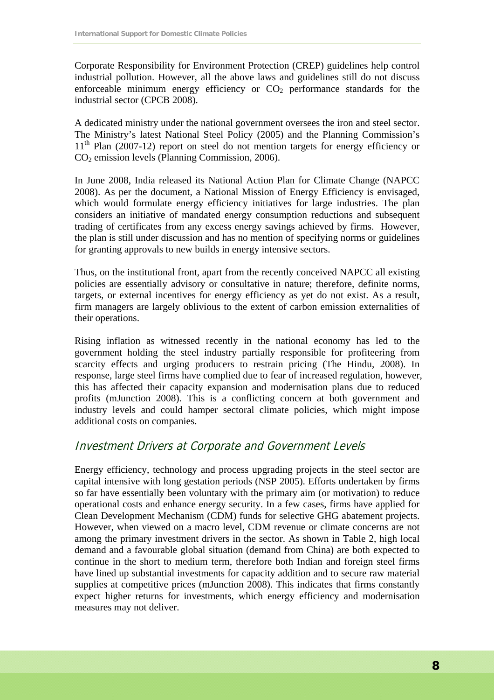Corporate Responsibility for Environment Protection (CREP) guidelines help control industrial pollution. However, all the above laws and guidelines still do not discuss enforceable minimum energy efficiency or  $CO<sub>2</sub>$  performance standards for the industrial sector (CPCB 2008).

A dedicated ministry under the national government oversees the iron and steel sector. The Ministry's latest National Steel Policy (2005) and the Planning Commission's  $11<sup>th</sup>$  Plan (2007-12) report on steel do not mention targets for energy efficiency or CO2 emission levels (Planning Commission, 2006).

In June 2008, India released its National Action Plan for Climate Change (NAPCC 2008). As per the document, a National Mission of Energy Efficiency is envisaged, which would formulate energy efficiency initiatives for large industries. The plan considers an initiative of mandated energy consumption reductions and subsequent trading of certificates from any excess energy savings achieved by firms. However, the plan is still under discussion and has no mention of specifying norms or guidelines for granting approvals to new builds in energy intensive sectors.

Thus, on the institutional front, apart from the recently conceived NAPCC all existing policies are essentially advisory or consultative in nature; therefore, definite norms, targets, or external incentives for energy efficiency as yet do not exist. As a result, firm managers are largely oblivious to the extent of carbon emission externalities of their operations.

Rising inflation as witnessed recently in the national economy has led to the government holding the steel industry partially responsible for profiteering from scarcity effects and urging producers to restrain pricing (The Hindu, 2008). In response, large steel firms have complied due to fear of increased regulation, however, this has affected their capacity expansion and modernisation plans due to reduced profits (mJunction 2008). This is a conflicting concern at both government and industry levels and could hamper sectoral climate policies, which might impose additional costs on companies.

### Investment Drivers at Corporate and Government Levels

Energy efficiency, technology and process upgrading projects in the steel sector are capital intensive with long gestation periods (NSP 2005). Efforts undertaken by firms so far have essentially been voluntary with the primary aim (or motivation) to reduce operational costs and enhance energy security. In a few cases, firms have applied for Clean Development Mechanism (CDM) funds for selective GHG abatement projects. However, when viewed on a macro level, CDM revenue or climate concerns are not among the primary investment drivers in the sector. As shown in Table 2, high local demand and a favourable global situation (demand from China) are both expected to continue in the short to medium term, therefore both Indian and foreign steel firms have lined up substantial investments for capacity addition and to secure raw material supplies at competitive prices (mJunction 2008). This indicates that firms constantly expect higher returns for investments, which energy efficiency and modernisation measures may not deliver.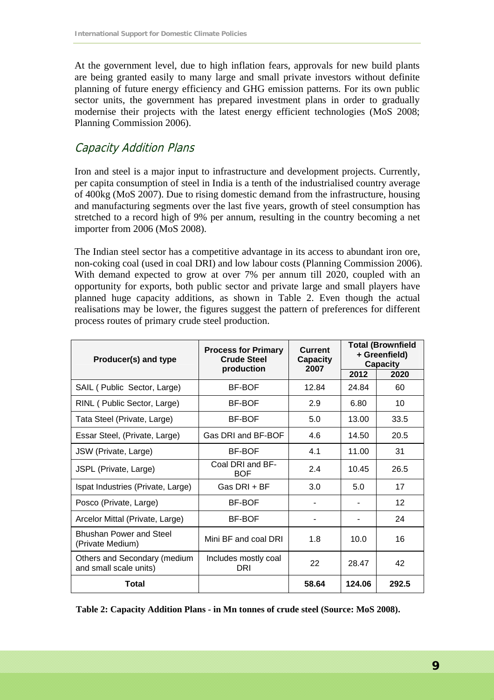At the government level, due to high inflation fears, approvals for new build plants are being granted easily to many large and small private investors without definite planning of future energy efficiency and GHG emission patterns. For its own public sector units, the government has prepared investment plans in order to gradually modernise their projects with the latest energy efficient technologies (MoS 2008; Planning Commission 2006).

### Capacity Addition Plans

Iron and steel is a major input to infrastructure and development projects. Currently, per capita consumption of steel in India is a tenth of the industrialised country average of 400kg (MoS 2007). Due to rising domestic demand from the infrastructure, housing and manufacturing segments over the last five years, growth of steel consumption has stretched to a record high of 9% per annum, resulting in the country becoming a net importer from 2006 (MoS 2008).

The Indian steel sector has a competitive advantage in its access to abundant iron ore, non-coking coal (used in coal DRI) and low labour costs (Planning Commission 2006). With demand expected to grow at over 7% per annum till 2020, coupled with an opportunity for exports, both public sector and private large and small players have planned huge capacity additions, as shown in Table 2. Even though the actual realisations may be lower, the figures suggest the pattern of preferences for different process routes of primary crude steel production.

| Producer(s) and type                                   | <b>Process for Primary</b><br><b>Crude Steel</b><br>production | <b>Current</b><br>Capacity<br>2007 | <b>Total (Brownfield</b><br>+ Greenfield)<br><b>Capacity</b> |       |
|--------------------------------------------------------|----------------------------------------------------------------|------------------------------------|--------------------------------------------------------------|-------|
|                                                        |                                                                |                                    | 2012                                                         | 2020  |
| SAIL (Public Sector, Large)                            | <b>BF-BOF</b>                                                  | 12.84                              | 24.84                                                        | 60    |
| RINL (Public Sector, Large)                            | <b>BF-BOF</b>                                                  | 2.9                                | 6.80                                                         | 10    |
| Tata Steel (Private, Large)                            | <b>BF-BOF</b>                                                  | 5.0                                | 13.00                                                        | 33.5  |
| Essar Steel, (Private, Large)                          | Gas DRI and BF-BOF                                             | 4.6                                | 14.50                                                        | 20.5  |
| JSW (Private, Large)                                   | <b>BF-BOF</b>                                                  | 4.1                                | 11.00                                                        | 31    |
| JSPL (Private, Large)                                  | Coal DRI and BF-<br><b>BOF</b>                                 | 2.4                                | 10.45                                                        | 26.5  |
| Ispat Industries (Private, Large)                      | Gas DRI + BF                                                   | 3.0                                | 5.0                                                          | 17    |
| Posco (Private, Large)                                 | <b>BF-BOF</b>                                                  |                                    |                                                              | 12    |
| Arcelor Mittal (Private, Large)                        | <b>BF-BOF</b>                                                  |                                    |                                                              | 24    |
| <b>Bhushan Power and Steel</b><br>(Private Medium)     | Mini BF and coal DRI                                           | 1.8                                | 10.0                                                         | 16    |
| Others and Secondary (medium<br>and small scale units) | Includes mostly coal<br>DRI                                    | 22                                 | 28.47                                                        | 42    |
| Total                                                  |                                                                | 58.64                              | 124.06                                                       | 292.5 |

**Table 2: Capacity Addition Plans - in Mn tonnes of crude steel (Source: MoS 2008).**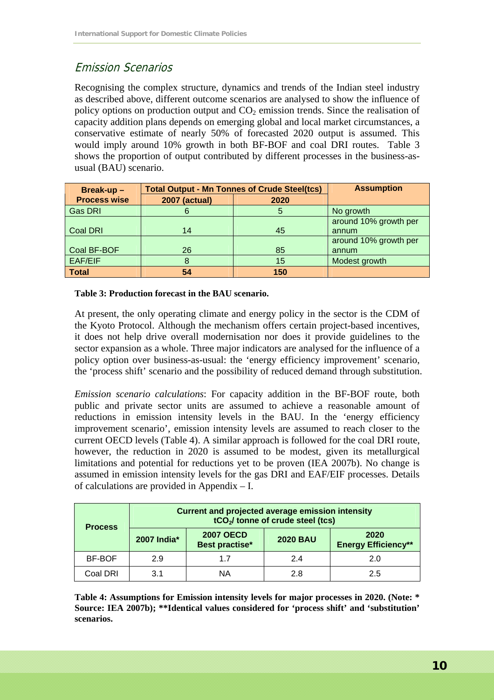# Emission Scenarios

Recognising the complex structure, dynamics and trends of the Indian steel industry as described above, different outcome scenarios are analysed to show the influence of policy options on production output and  $CO<sub>2</sub>$  emission trends. Since the realisation of capacity addition plans depends on emerging global and local market circumstances, a conservative estimate of nearly 50% of forecasted 2020 output is assumed. This would imply around 10% growth in both BF-BOF and coal DRI routes. Table 3 shows the proportion of output contributed by different processes in the business-asusual (BAU) scenario.

| Break-up-           | <b>Total Output - Mn Tonnes of Crude Steel(tcs)</b> | <b>Assumption</b> |                       |
|---------------------|-----------------------------------------------------|-------------------|-----------------------|
| <b>Process wise</b> | <b>2007 (actual)</b>                                | 2020              |                       |
| <b>Gas DRI</b>      |                                                     | 5                 | No growth             |
|                     |                                                     |                   | around 10% growth per |
| <b>Coal DRI</b>     | 14                                                  | 45                | annum                 |
|                     |                                                     |                   | around 10% growth per |
| Coal BF-BOF         | 26                                                  | 85                | annum                 |
| EAF/EIF             |                                                     | 15                | Modest growth         |
| <b>Total</b>        | 54                                                  | 150               |                       |

**Table 3: Production forecast in the BAU scenario.** 

At present, the only operating climate and energy policy in the sector is the CDM of the Kyoto Protocol. Although the mechanism offers certain project-based incentives, it does not help drive overall modernisation nor does it provide guidelines to the sector expansion as a whole. Three major indicators are analysed for the influence of a policy option over business-as-usual: the 'energy efficiency improvement' scenario, the 'process shift' scenario and the possibility of reduced demand through substitution.

*Emission scenario calculations*: For capacity addition in the BF-BOF route, both public and private sector units are assumed to achieve a reasonable amount of reductions in emission intensity levels in the BAU. In the 'energy efficiency improvement scenario', emission intensity levels are assumed to reach closer to the current OECD levels (Table 4). A similar approach is followed for the coal DRI route, however, the reduction in 2020 is assumed to be modest, given its metallurgical limitations and potential for reductions yet to be proven (IEA 2007b). No change is assumed in emission intensity levels for the gas DRI and EAF/EIF processes. Details of calculations are provided in Appendix – I.

| <b>Process</b> | <b>Current and projected average emission intensity</b><br>tCO <sub>2</sub> / tonne of crude steel (tcs) |                                    |                 |                                    |  |  |
|----------------|----------------------------------------------------------------------------------------------------------|------------------------------------|-----------------|------------------------------------|--|--|
|                | 2007 India*                                                                                              | <b>2007 OECD</b><br>Best practise* | <b>2020 BAU</b> | 2020<br><b>Energy Efficiency**</b> |  |  |
| BF-BOF         | 2.9                                                                                                      | 1.7                                | 2.4             | 2.0                                |  |  |
| Coal DRI       | 3.1                                                                                                      | ΝA                                 | 2.8             | 2.5                                |  |  |

**Table 4: Assumptions for Emission intensity levels for major processes in 2020. (Note: \* Source: IEA 2007b); \*\*Identical values considered for 'process shift' and 'substitution' scenarios.**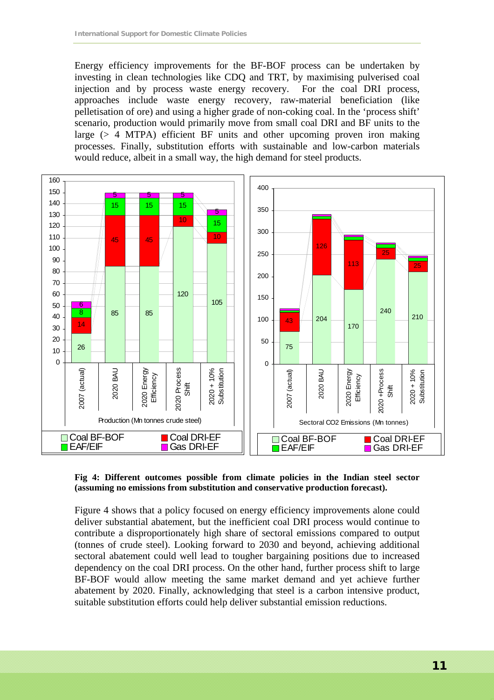Energy efficiency improvements for the BF-BOF process can be undertaken by investing in clean technologies like CDQ and TRT, by maximising pulverised coal injection and by process waste energy recovery. For the coal DRI process, approaches include waste energy recovery, raw-material beneficiation (like pelletisation of ore) and using a higher grade of non-coking coal. In the 'process shift' scenario, production would primarily move from small coal DRI and BF units to the large (> 4 MTPA) efficient BF units and other upcoming proven iron making processes. Finally, substitution efforts with sustainable and low-carbon materials would reduce, albeit in a small way, the high demand for steel products.



#### **Fig 4: Different outcomes possible from climate policies in the Indian steel sector (assuming no emissions from substitution and conservative production forecast).**

Figure 4 shows that a policy focused on energy efficiency improvements alone could deliver substantial abatement, but the inefficient coal DRI process would continue to contribute a disproportionately high share of sectoral emissions compared to output (tonnes of crude steel). Looking forward to 2030 and beyond, achieving additional sectoral abatement could well lead to tougher bargaining positions due to increased dependency on the coal DRI process. On the other hand, further process shift to large BF-BOF would allow meeting the same market demand and yet achieve further abatement by 2020. Finally, acknowledging that steel is a carbon intensive product, suitable substitution efforts could help deliver substantial emission reductions.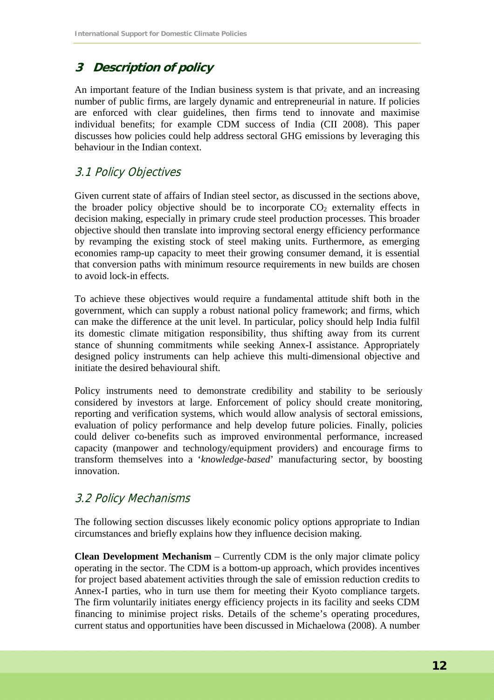# **3 Description of policy**

An important feature of the Indian business system is that private, and an increasing number of public firms, are largely dynamic and entrepreneurial in nature. If policies are enforced with clear guidelines, then firms tend to innovate and maximise individual benefits; for example CDM success of India (CII 2008). This paper discusses how policies could help address sectoral GHG emissions by leveraging this behaviour in the Indian context.

### 3.1 Policy Objectives

Given current state of affairs of Indian steel sector, as discussed in the sections above, the broader policy objective should be to incorporate  $CO<sub>2</sub>$  externality effects in decision making, especially in primary crude steel production processes. This broader objective should then translate into improving sectoral energy efficiency performance by revamping the existing stock of steel making units. Furthermore, as emerging economies ramp-up capacity to meet their growing consumer demand, it is essential that conversion paths with minimum resource requirements in new builds are chosen to avoid lock-in effects.

To achieve these objectives would require a fundamental attitude shift both in the government, which can supply a robust national policy framework; and firms, which can make the difference at the unit level. In particular, policy should help India fulfil its domestic climate mitigation responsibility, thus shifting away from its current stance of shunning commitments while seeking Annex-I assistance. Appropriately designed policy instruments can help achieve this multi-dimensional objective and initiate the desired behavioural shift.

Policy instruments need to demonstrate credibility and stability to be seriously considered by investors at large. Enforcement of policy should create monitoring, reporting and verification systems, which would allow analysis of sectoral emissions, evaluation of policy performance and help develop future policies. Finally, policies could deliver co-benefits such as improved environmental performance, increased capacity (manpower and technology/equipment providers) and encourage firms to transform themselves into a '*knowledge-based*' manufacturing sector, by boosting innovation.

### 3.2 Policy Mechanisms

The following section discusses likely economic policy options appropriate to Indian circumstances and briefly explains how they influence decision making.

**Clean Development Mechanism** – Currently CDM is the only major climate policy operating in the sector. The CDM is a bottom-up approach, which provides incentives for project based abatement activities through the sale of emission reduction credits to Annex-I parties, who in turn use them for meeting their Kyoto compliance targets. The firm voluntarily initiates energy efficiency projects in its facility and seeks CDM financing to minimise project risks. Details of the scheme's operating procedures, current status and opportunities have been discussed in Michaelowa (2008). A number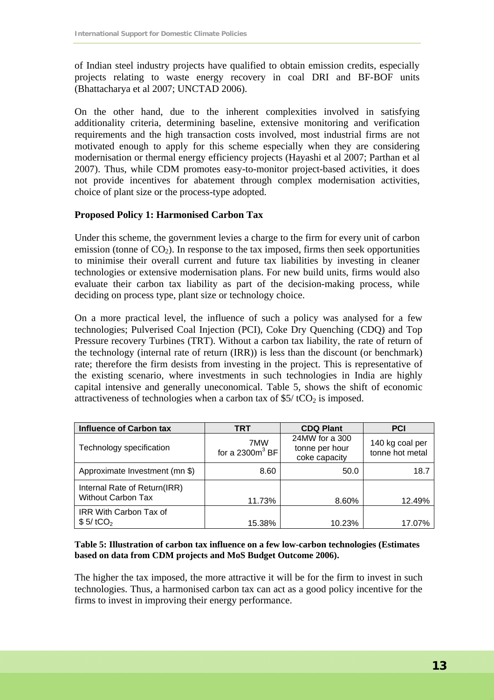of Indian steel industry projects have qualified to obtain emission credits, especially projects relating to waste energy recovery in coal DRI and BF-BOF units (Bhattacharya et al 2007; UNCTAD 2006).

On the other hand, due to the inherent complexities involved in satisfying additionality criteria, determining baseline, extensive monitoring and verification requirements and the high transaction costs involved, most industrial firms are not motivated enough to apply for this scheme especially when they are considering modernisation or thermal energy efficiency projects (Hayashi et al 2007; Parthan et al 2007). Thus, while CDM promotes easy-to-monitor project-based activities, it does not provide incentives for abatement through complex modernisation activities, choice of plant size or the process-type adopted.

#### **Proposed Policy 1: Harmonised Carbon Tax**

Under this scheme, the government levies a charge to the firm for every unit of carbon emission (tonne of  $CO<sub>2</sub>$ ). In response to the tax imposed, firms then seek opportunities to minimise their overall current and future tax liabilities by investing in cleaner technologies or extensive modernisation plans. For new build units, firms would also evaluate their carbon tax liability as part of the decision-making process, while deciding on process type, plant size or technology choice.

On a more practical level, the influence of such a policy was analysed for a few technologies; Pulverised Coal Injection (PCI), Coke Dry Quenching (CDQ) and Top Pressure recovery Turbines (TRT). Without a carbon tax liability, the rate of return of the technology (internal rate of return (IRR)) is less than the discount (or benchmark) rate; therefore the firm desists from investing in the project. This is representative of the existing scenario, where investments in such technologies in India are highly capital intensive and generally uneconomical. Table 5, shows the shift of economic attractiveness of technologies when a carbon tax of  $$5/$  tCO<sub>2</sub> is imposed.

| <b>Influence of Carbon tax</b>                            | <b>TRT</b>                | <b>CDQ Plant</b>                                  | <b>PCI</b>                         |
|-----------------------------------------------------------|---------------------------|---------------------------------------------------|------------------------------------|
| Technology specification                                  | 7MW<br>for a 2300 $m3$ BF | 24MW for a 300<br>tonne per hour<br>coke capacity | 140 kg coal per<br>tonne hot metal |
| Approximate Investment (mn \$)                            | 8.60                      | 50.0                                              | 18.7                               |
| Internal Rate of Return(IRR)<br><b>Without Carbon Tax</b> | 11.73%                    | 8.60%                                             | 12.49%                             |
| <b>IRR With Carbon Tax of</b><br>$$5/$ tCO <sub>2</sub>   | 15.38%                    | 10.23%                                            | 17.07%                             |

#### **Table 5: Illustration of carbon tax influence on a few low-carbon technologies (Estimates based on data from CDM projects and MoS Budget Outcome 2006).**

The higher the tax imposed, the more attractive it will be for the firm to invest in such technologies. Thus, a harmonised carbon tax can act as a good policy incentive for the firms to invest in improving their energy performance.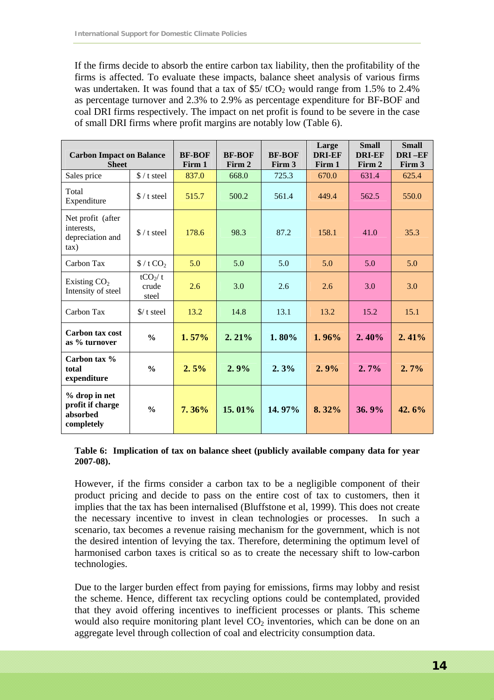If the firms decide to absorb the entire carbon tax liability, then the profitability of the firms is affected. To evaluate these impacts, balance sheet analysis of various firms was undertaken. It was found that a tax of  $$5/$  tCO<sub>2</sub> would range from 1.5% to 2.4% as percentage turnover and 2.3% to 2.9% as percentage expenditure for BF-BOF and coal DRI firms respectively. The impact on net profit is found to be severe in the case of small DRI firms where profit margins are notably low (Table 6).

| <b>Carbon Impact on Balance</b><br><b>Sheet</b>             |                                       | <b>BF-BOF</b><br>Firm 1 | <b>BF-BOF</b><br>Firm 2 | <b>BF-BOF</b><br>Firm 3 | Large<br><b>DRI-EF</b><br>Firm 1 | <b>Small</b><br><b>DRI-EF</b><br>Firm 2 | <b>Small</b><br>DRI-EF<br>Firm 3 |
|-------------------------------------------------------------|---------------------------------------|-------------------------|-------------------------|-------------------------|----------------------------------|-----------------------------------------|----------------------------------|
| Sales price                                                 | $\frac{1}{2}$ / t steel               | 837.0                   | 668.0                   | 725.3                   | 670.0                            | 631.4                                   | 625.4                            |
| Total<br>Expenditure                                        | $\frac{1}{2}$ / t steel               | 515.7                   | 500.2                   | 561.4                   | 449.4                            | 562.5                                   | 550.0                            |
| Net profit (after<br>interests.<br>depreciation and<br>tax) | $\frac{1}{2}$ / t steel               | 178.6                   | 98.3                    | 87.2                    | 158.1                            | 41.0                                    | 35.3                             |
| Carbon Tax                                                  | $\frac{1}{2}$ / t CO <sub>2</sub>     | 5.0                     | 5.0                     | 5.0                     | 5.0                              | 5.0                                     | 5.0                              |
| Existing $CO2$<br>Intensity of steel                        | tCO <sub>2</sub> /t<br>crude<br>steel | 2.6                     | 3.0                     | 2.6                     | 2.6                              | 3.0                                     | 3.0                              |
| Carbon Tax                                                  | $\frac{s}{t}$ steel                   | 13.2                    | 14.8                    | 13.1                    | 13.2                             | 15.2                                    | 15.1                             |
| Carbon tax cost<br>as % turnover                            | $\frac{0}{0}$                         | 1.57%                   | 2.21%                   | 1.80%                   | 1.96%                            | 2.40%                                   | 2.41%                            |
| Carbon tax %<br>total<br>expenditure                        | $\frac{0}{0}$                         | 2.5%                    | 2.9%                    | 2.3%                    | 2.9%                             | $2.7\%$                                 | $2.7\%$                          |
| % drop in net<br>profit if charge<br>absorbed<br>completely | $\frac{0}{0}$                         | 7.36%                   | 15.01%                  | 14.97%                  | 8.32%                            | 36.9%                                   | 42.6%                            |

#### **Table 6: Implication of tax on balance sheet (publicly available company data for year 2007-08).**

However, if the firms consider a carbon tax to be a negligible component of their product pricing and decide to pass on the entire cost of tax to customers, then it implies that the tax has been internalised (Bluffstone et al, 1999). This does not create the necessary incentive to invest in clean technologies or processes. In such a scenario, tax becomes a revenue raising mechanism for the government, which is not the desired intention of levying the tax. Therefore, determining the optimum level of harmonised carbon taxes is critical so as to create the necessary shift to low-carbon technologies.

Due to the larger burden effect from paying for emissions, firms may lobby and resist the scheme. Hence, different tax recycling options could be contemplated, provided that they avoid offering incentives to inefficient processes or plants. This scheme would also require monitoring plant level  $CO<sub>2</sub>$  inventories, which can be done on an aggregate level through collection of coal and electricity consumption data.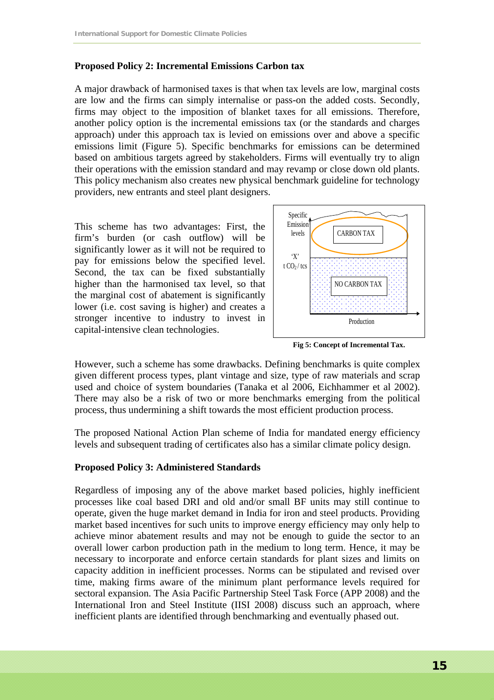#### **Proposed Policy 2: Incremental Emissions Carbon tax**

A major drawback of harmonised taxes is that when tax levels are low, marginal costs are low and the firms can simply internalise or pass-on the added costs. Secondly, firms may object to the imposition of blanket taxes for all emissions. Therefore, another policy option is the incremental emissions tax (or the standards and charges approach) under this approach tax is levied on emissions over and above a specific emissions limit (Figure 5). Specific benchmarks for emissions can be determined based on ambitious targets agreed by stakeholders. Firms will eventually try to align their operations with the emission standard and may revamp or close down old plants. This policy mechanism also creates new physical benchmark guideline for technology providers, new entrants and steel plant designers.

This scheme has two advantages: First, the firm's burden (or cash outflow) will be significantly lower as it will not be required to pay for emissions below the specified level. Second, the tax can be fixed substantially higher than the harmonised tax level, so that the marginal cost of abatement is significantly lower (i.e. cost saving is higher) and creates a stronger incentive to industry to invest in capital-intensive clean technologies.



**Fig 5: Concept of Incremental Tax.** 

However, such a scheme has some drawbacks. Defining benchmarks is quite complex given different process types, plant vintage and size, type of raw materials and scrap used and choice of system boundaries (Tanaka et al 2006, Eichhammer et al 2002). There may also be a risk of two or more benchmarks emerging from the political process, thus undermining a shift towards the most efficient production process.

The proposed National Action Plan scheme of India for mandated energy efficiency levels and subsequent trading of certificates also has a similar climate policy design.

#### **Proposed Policy 3: Administered Standards**

Regardless of imposing any of the above market based policies, highly inefficient processes like coal based DRI and old and/or small BF units may still continue to operate, given the huge market demand in India for iron and steel products. Providing market based incentives for such units to improve energy efficiency may only help to achieve minor abatement results and may not be enough to guide the sector to an overall lower carbon production path in the medium to long term. Hence, it may be necessary to incorporate and enforce certain standards for plant sizes and limits on capacity addition in inefficient processes. Norms can be stipulated and revised over time, making firms aware of the minimum plant performance levels required for sectoral expansion. The Asia Pacific Partnership Steel Task Force (APP 2008) and the International Iron and Steel Institute (IISI 2008) discuss such an approach, where inefficient plants are identified through benchmarking and eventually phased out.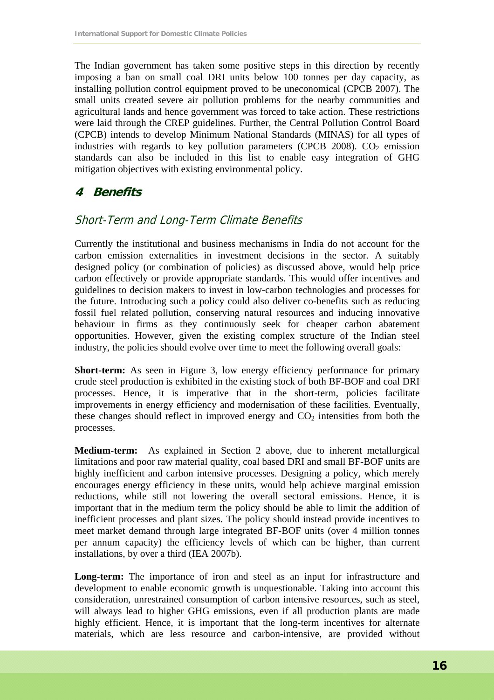The Indian government has taken some positive steps in this direction by recently imposing a ban on small coal DRI units below 100 tonnes per day capacity, as installing pollution control equipment proved to be uneconomical (CPCB 2007). The small units created severe air pollution problems for the nearby communities and agricultural lands and hence government was forced to take action. These restrictions were laid through the CREP guidelines. Further, the Central Pollution Control Board (CPCB) intends to develop Minimum National Standards (MINAS) for all types of industries with regards to key pollution parameters (CPCB 2008).  $CO<sub>2</sub>$  emission standards can also be included in this list to enable easy integration of GHG mitigation objectives with existing environmental policy.

### **4 Benefits**

### Short-Term and Long-Term Climate Benefits

Currently the institutional and business mechanisms in India do not account for the carbon emission externalities in investment decisions in the sector. A suitably designed policy (or combination of policies) as discussed above, would help price carbon effectively or provide appropriate standards. This would offer incentives and guidelines to decision makers to invest in low-carbon technologies and processes for the future. Introducing such a policy could also deliver co-benefits such as reducing fossil fuel related pollution, conserving natural resources and inducing innovative behaviour in firms as they continuously seek for cheaper carbon abatement opportunities. However, given the existing complex structure of the Indian steel industry, the policies should evolve over time to meet the following overall goals:

**Short-term:** As seen in Figure 3, low energy efficiency performance for primary crude steel production is exhibited in the existing stock of both BF-BOF and coal DRI processes. Hence, it is imperative that in the short-term, policies facilitate improvements in energy efficiency and modernisation of these facilities. Eventually, these changes should reflect in improved energy and  $CO<sub>2</sub>$  intensities from both the processes.

**Medium-term:** As explained in Section 2 above, due to inherent metallurgical limitations and poor raw material quality, coal based DRI and small BF-BOF units are highly inefficient and carbon intensive processes. Designing a policy, which merely encourages energy efficiency in these units, would help achieve marginal emission reductions, while still not lowering the overall sectoral emissions. Hence, it is important that in the medium term the policy should be able to limit the addition of inefficient processes and plant sizes. The policy should instead provide incentives to meet market demand through large integrated BF-BOF units (over 4 million tonnes per annum capacity) the efficiency levels of which can be higher, than current installations, by over a third (IEA 2007b).

**Long-term:** The importance of iron and steel as an input for infrastructure and development to enable economic growth is unquestionable. Taking into account this consideration, unrestrained consumption of carbon intensive resources, such as steel, will always lead to higher GHG emissions, even if all production plants are made highly efficient. Hence, it is important that the long-term incentives for alternate materials, which are less resource and carbon-intensive, are provided without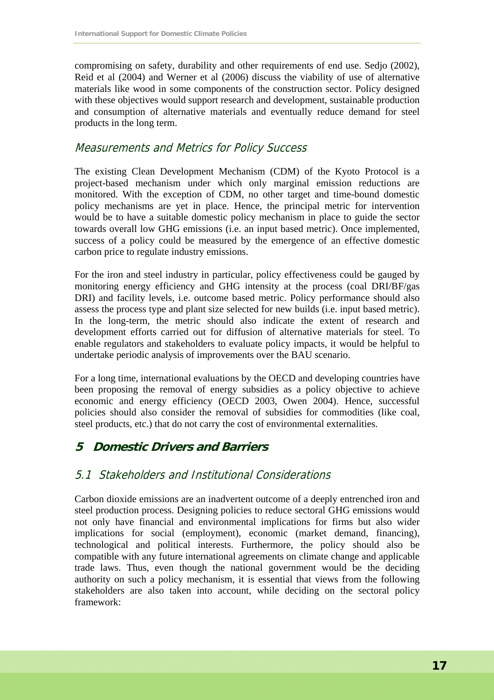compromising on safety, durability and other requirements of end use. Sedjo (2002), Reid et al (2004) and Werner et al (2006) discuss the viability of use of alternative materials like wood in some components of the construction sector. Policy designed with these objectives would support research and development, sustainable production and consumption of alternative materials and eventually reduce demand for steel products in the long term.

### Measurements and Metrics for Policy Success

The existing Clean Development Mechanism (CDM) of the Kyoto Protocol is a project-based mechanism under which only marginal emission reductions are monitored. With the exception of CDM, no other target and time-bound domestic policy mechanisms are yet in place. Hence, the principal metric for intervention would be to have a suitable domestic policy mechanism in place to guide the sector towards overall low GHG emissions (i.e. an input based metric). Once implemented, success of a policy could be measured by the emergence of an effective domestic carbon price to regulate industry emissions.

For the iron and steel industry in particular, policy effectiveness could be gauged by monitoring energy efficiency and GHG intensity at the process (coal DRI/BF/gas DRI) and facility levels, i.e. outcome based metric. Policy performance should also assess the process type and plant size selected for new builds (i.e. input based metric). In the long-term, the metric should also indicate the extent of research and development efforts carried out for diffusion of alternative materials for steel. To enable regulators and stakeholders to evaluate policy impacts, it would be helpful to undertake periodic analysis of improvements over the BAU scenario.

For a long time, international evaluations by the OECD and developing countries have been proposing the removal of energy subsidies as a policy objective to achieve economic and energy efficiency (OECD 2003, Owen 2004). Hence, successful policies should also consider the removal of subsidies for commodities (like coal, steel products, etc.) that do not carry the cost of environmental externalities.

# **5 Domestic Drivers and Barriers**

### 5.1 Stakeholders and Institutional Considerations

Carbon dioxide emissions are an inadvertent outcome of a deeply entrenched iron and steel production process. Designing policies to reduce sectoral GHG emissions would not only have financial and environmental implications for firms but also wider implications for social (employment), economic (market demand, financing), technological and political interests. Furthermore, the policy should also be compatible with any future international agreements on climate change and applicable trade laws. Thus, even though the national government would be the deciding authority on such a policy mechanism, it is essential that views from the following stakeholders are also taken into account, while deciding on the sectoral policy framework: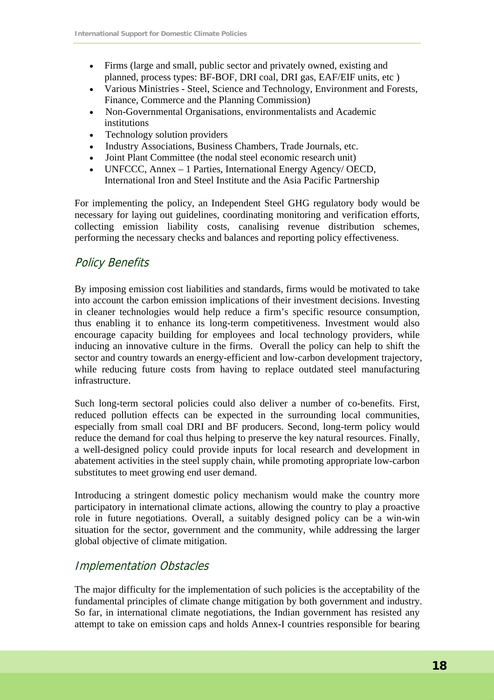- Firms (large and small, public sector and privately owned, existing and planned, process types: BF-BOF, DRI coal, DRI gas, EAF/EIF units, etc )
- Various Ministries Steel, Science and Technology, Environment and Forests, Finance, Commerce and the Planning Commission)
- Non-Governmental Organisations, environmentalists and Academic institutions
- Technology solution providers
- Industry Associations, Business Chambers, Trade Journals, etc.
- Joint Plant Committee (the nodal steel economic research unit)
- UNFCCC, Annex 1 Parties, International Energy Agency/ OECD, International Iron and Steel Institute and the Asia Pacific Partnership

For implementing the policy, an Independent Steel GHG regulatory body would be necessary for laying out guidelines, coordinating monitoring and verification efforts, collecting emission liability costs, canalising revenue distribution schemes, performing the necessary checks and balances and reporting policy effectiveness.

### Policy Benefits

By imposing emission cost liabilities and standards, firms would be motivated to take into account the carbon emission implications of their investment decisions. Investing in cleaner technologies would help reduce a firm's specific resource consumption, thus enabling it to enhance its long-term competitiveness. Investment would also encourage capacity building for employees and local technology providers, while inducing an innovative culture in the firms. Overall the policy can help to shift the sector and country towards an energy-efficient and low-carbon development trajectory, while reducing future costs from having to replace outdated steel manufacturing infrastructure.

Such long-term sectoral policies could also deliver a number of co-benefits. First, reduced pollution effects can be expected in the surrounding local communities, especially from small coal DRI and BF producers. Second, long-term policy would reduce the demand for coal thus helping to preserve the key natural resources. Finally, a well-designed policy could provide inputs for local research and development in abatement activities in the steel supply chain, while promoting appropriate low-carbon substitutes to meet growing end user demand.

Introducing a stringent domestic policy mechanism would make the country more participatory in international climate actions, allowing the country to play a proactive role in future negotiations. Overall, a suitably designed policy can be a win-win situation for the sector, government and the community, while addressing the larger global objective of climate mitigation.

### Implementation Obstacles

The major difficulty for the implementation of such policies is the acceptability of the fundamental principles of climate change mitigation by both government and industry. So far, in international climate negotiations, the Indian government has resisted any attempt to take on emission caps and holds Annex-I countries responsible for bearing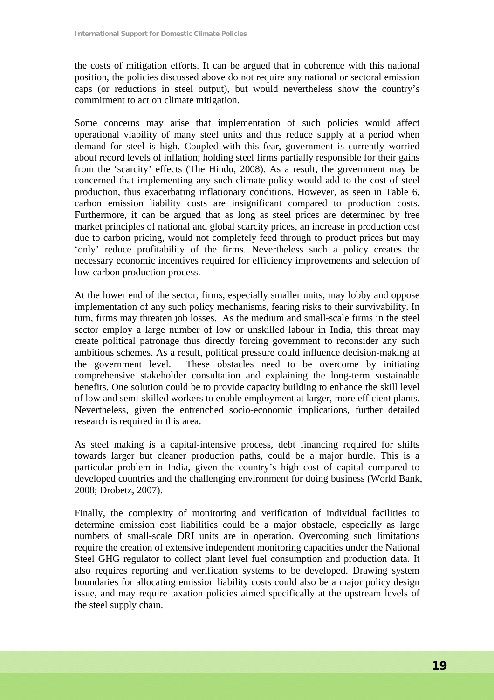the costs of mitigation efforts. It can be argued that in coherence with this national position, the policies discussed above do not require any national or sectoral emission caps (or reductions in steel output), but would nevertheless show the country's commitment to act on climate mitigation.

Some concerns may arise that implementation of such policies would affect operational viability of many steel units and thus reduce supply at a period when demand for steel is high. Coupled with this fear, government is currently worried about record levels of inflation; holding steel firms partially responsible for their gains from the 'scarcity' effects (The Hindu, 2008). As a result, the government may be concerned that implementing any such climate policy would add to the cost of steel production, thus exacerbating inflationary conditions. However, as seen in Table 6, carbon emission liability costs are insignificant compared to production costs. Furthermore, it can be argued that as long as steel prices are determined by free market principles of national and global scarcity prices, an increase in production cost due to carbon pricing, would not completely feed through to product prices but may 'only' reduce profitability of the firms. Nevertheless such a policy creates the necessary economic incentives required for efficiency improvements and selection of low-carbon production process.

At the lower end of the sector, firms, especially smaller units, may lobby and oppose implementation of any such policy mechanisms, fearing risks to their survivability. In turn, firms may threaten job losses. As the medium and small-scale firms in the steel sector employ a large number of low or unskilled labour in India, this threat may create political patronage thus directly forcing government to reconsider any such ambitious schemes. As a result, political pressure could influence decision-making at the government level. These obstacles need to be overcome by initiating comprehensive stakeholder consultation and explaining the long-term sustainable benefits. One solution could be to provide capacity building to enhance the skill level of low and semi-skilled workers to enable employment at larger, more efficient plants. Nevertheless, given the entrenched socio-economic implications, further detailed research is required in this area.

As steel making is a capital-intensive process, debt financing required for shifts towards larger but cleaner production paths, could be a major hurdle. This is a particular problem in India, given the country's high cost of capital compared to developed countries and the challenging environment for doing business (World Bank, 2008; Drobetz, 2007).

Finally, the complexity of monitoring and verification of individual facilities to determine emission cost liabilities could be a major obstacle, especially as large numbers of small-scale DRI units are in operation. Overcoming such limitations require the creation of extensive independent monitoring capacities under the National Steel GHG regulator to collect plant level fuel consumption and production data. It also requires reporting and verification systems to be developed. Drawing system boundaries for allocating emission liability costs could also be a major policy design issue, and may require taxation policies aimed specifically at the upstream levels of the steel supply chain.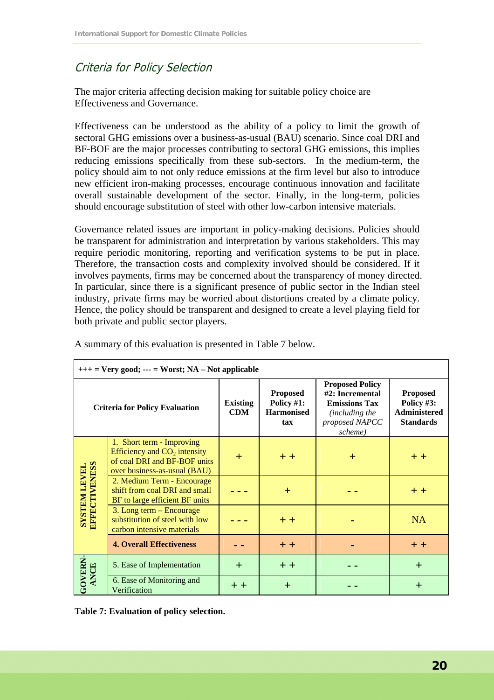### Criteria for Policy Selection

The major criteria affecting decision making for suitable policy choice are Effectiveness and Governance.

Effectiveness can be understood as the ability of a policy to limit the growth of sectoral GHG emissions over a business-as-usual (BAU) scenario. Since coal DRI and BF-BOF are the major processes contributing to sectoral GHG emissions, this implies reducing emissions specifically from these sub-sectors. In the medium-term, the policy should aim to not only reduce emissions at the firm level but also to introduce new efficient iron-making processes, encourage continuous innovation and facilitate overall sustainable development of the sector. Finally, in the long-term, policies should encourage substitution of steel with other low-carbon intensive materials.

Governance related issues are important in policy-making decisions. Policies should be transparent for administration and interpretation by various stakeholders. This may require periodic monitoring, reporting and verification systems to be put in place. Therefore, the transaction costs and complexity involved should be considered. If it involves payments, firms may be concerned about the transparency of money directed. In particular, since there is a significant presence of public sector in the Indian steel industry, private firms may be worried about distortions created by a climate policy. Hence, the policy should be transparent and designed to create a level playing field for both private and public sector players.

| $++$ = Very good; --- = Worst; NA – Not applicable                                                                                     |                                                                                                                             |                               |                                                           |                                                                                                                  |                                                                          |  |
|----------------------------------------------------------------------------------------------------------------------------------------|-----------------------------------------------------------------------------------------------------------------------------|-------------------------------|-----------------------------------------------------------|------------------------------------------------------------------------------------------------------------------|--------------------------------------------------------------------------|--|
| <b>Criteria for Policy Evaluation</b>                                                                                                  |                                                                                                                             | <b>Existing</b><br><b>CDM</b> | <b>Proposed</b><br>Policy #1:<br><b>Harmonised</b><br>tax | <b>Proposed Policy</b><br>#2: Incremental<br><b>Emissions Tax</b><br>(including the<br>proposed NAPCC<br>scheme) | <b>Proposed</b><br>Policy #3:<br><b>Administered</b><br><b>Standards</b> |  |
|                                                                                                                                        | 1. Short term - Improving<br>Efficiency and $CO2$ intensity<br>of coal DRI and BF-BOF units<br>over business-as-usual (BAU) | $\pm$                         | $+ +$                                                     | $\pm$                                                                                                            | $+ +$                                                                    |  |
| <b>SYSTEM LEVEL<br/>EFFECTIVENESS</b><br>2. Medium Term - Encourage<br>shift from coal DRI and small<br>BF to large efficient BF units |                                                                                                                             | $+$                           |                                                           | $+ +$                                                                                                            |                                                                          |  |
|                                                                                                                                        | 3. Long term – Encourage<br>substitution of steel with low<br>carbon intensive materials                                    |                               | $+ +$                                                     |                                                                                                                  | NA.                                                                      |  |
|                                                                                                                                        | <b>4. Overall Effectiveness</b>                                                                                             |                               | $+ +$                                                     |                                                                                                                  | $+ +$                                                                    |  |
|                                                                                                                                        | 5. Ease of Implementation                                                                                                   | $+$                           | $+ +$                                                     |                                                                                                                  | $+$                                                                      |  |
| GOVERN-<br>ANCE                                                                                                                        | 6. Ease of Monitoring and<br>Verification                                                                                   | $+ +$                         | $+$                                                       |                                                                                                                  | $\pm$                                                                    |  |

A summary of this evaluation is presented in Table 7 below.

**Table 7: Evaluation of policy selection.**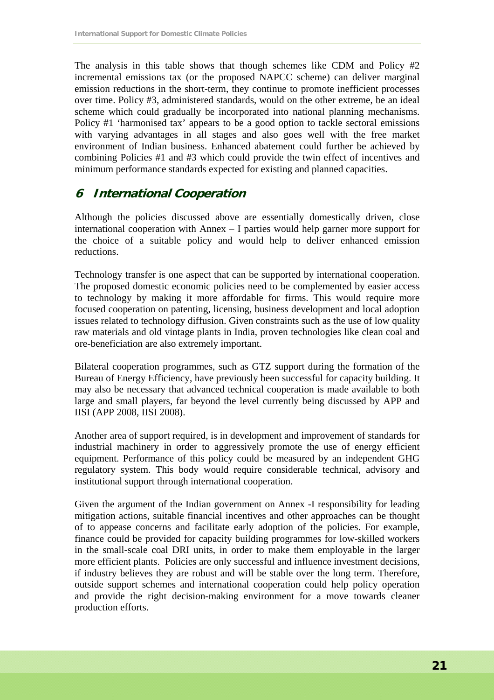The analysis in this table shows that though schemes like CDM and Policy #2 incremental emissions tax (or the proposed NAPCC scheme) can deliver marginal emission reductions in the short-term, they continue to promote inefficient processes over time. Policy #3, administered standards, would on the other extreme, be an ideal scheme which could gradually be incorporated into national planning mechanisms. Policy #1 'harmonised tax' appears to be a good option to tackle sectoral emissions with varying advantages in all stages and also goes well with the free market environment of Indian business. Enhanced abatement could further be achieved by combining Policies #1 and #3 which could provide the twin effect of incentives and minimum performance standards expected for existing and planned capacities.

### **6 International Cooperation**

Although the policies discussed above are essentially domestically driven, close international cooperation with Annex – I parties would help garner more support for the choice of a suitable policy and would help to deliver enhanced emission reductions.

Technology transfer is one aspect that can be supported by international cooperation. The proposed domestic economic policies need to be complemented by easier access to technology by making it more affordable for firms. This would require more focused cooperation on patenting, licensing, business development and local adoption issues related to technology diffusion. Given constraints such as the use of low quality raw materials and old vintage plants in India, proven technologies like clean coal and ore-beneficiation are also extremely important.

Bilateral cooperation programmes, such as GTZ support during the formation of the Bureau of Energy Efficiency, have previously been successful for capacity building. It may also be necessary that advanced technical cooperation is made available to both large and small players, far beyond the level currently being discussed by APP and IISI (APP 2008, IISI 2008).

Another area of support required, is in development and improvement of standards for industrial machinery in order to aggressively promote the use of energy efficient equipment. Performance of this policy could be measured by an independent GHG regulatory system. This body would require considerable technical, advisory and institutional support through international cooperation.

Given the argument of the Indian government on Annex -I responsibility for leading mitigation actions, suitable financial incentives and other approaches can be thought of to appease concerns and facilitate early adoption of the policies. For example, finance could be provided for capacity building programmes for low-skilled workers in the small-scale coal DRI units, in order to make them employable in the larger more efficient plants. Policies are only successful and influence investment decisions, if industry believes they are robust and will be stable over the long term. Therefore, outside support schemes and international cooperation could help policy operation and provide the right decision-making environment for a move towards cleaner production efforts.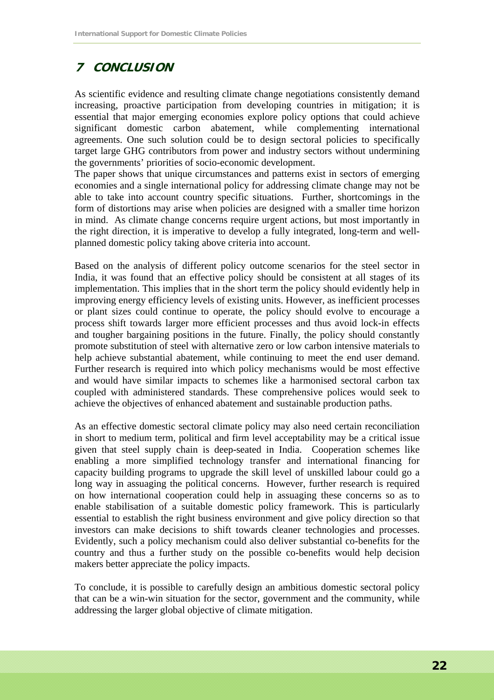# **7 CONCLUSION**

As scientific evidence and resulting climate change negotiations consistently demand increasing, proactive participation from developing countries in mitigation; it is essential that major emerging economies explore policy options that could achieve significant domestic carbon abatement, while complementing international agreements. One such solution could be to design sectoral policies to specifically target large GHG contributors from power and industry sectors without undermining the governments' priorities of socio-economic development.

The paper shows that unique circumstances and patterns exist in sectors of emerging economies and a single international policy for addressing climate change may not be able to take into account country specific situations. Further, shortcomings in the form of distortions may arise when policies are designed with a smaller time horizon in mind. As climate change concerns require urgent actions, but most importantly in the right direction, it is imperative to develop a fully integrated, long-term and wellplanned domestic policy taking above criteria into account.

Based on the analysis of different policy outcome scenarios for the steel sector in India, it was found that an effective policy should be consistent at all stages of its implementation. This implies that in the short term the policy should evidently help in improving energy efficiency levels of existing units. However, as inefficient processes or plant sizes could continue to operate, the policy should evolve to encourage a process shift towards larger more efficient processes and thus avoid lock-in effects and tougher bargaining positions in the future. Finally, the policy should constantly promote substitution of steel with alternative zero or low carbon intensive materials to help achieve substantial abatement, while continuing to meet the end user demand. Further research is required into which policy mechanisms would be most effective and would have similar impacts to schemes like a harmonised sectoral carbon tax coupled with administered standards. These comprehensive polices would seek to achieve the objectives of enhanced abatement and sustainable production paths.

As an effective domestic sectoral climate policy may also need certain reconciliation in short to medium term, political and firm level acceptability may be a critical issue given that steel supply chain is deep-seated in India. Cooperation schemes like enabling a more simplified technology transfer and international financing for capacity building programs to upgrade the skill level of unskilled labour could go a long way in assuaging the political concerns. However, further research is required on how international cooperation could help in assuaging these concerns so as to enable stabilisation of a suitable domestic policy framework. This is particularly essential to establish the right business environment and give policy direction so that investors can make decisions to shift towards cleaner technologies and processes. Evidently, such a policy mechanism could also deliver substantial co-benefits for the country and thus a further study on the possible co-benefits would help decision makers better appreciate the policy impacts.

To conclude, it is possible to carefully design an ambitious domestic sectoral policy that can be a win-win situation for the sector, government and the community, while addressing the larger global objective of climate mitigation.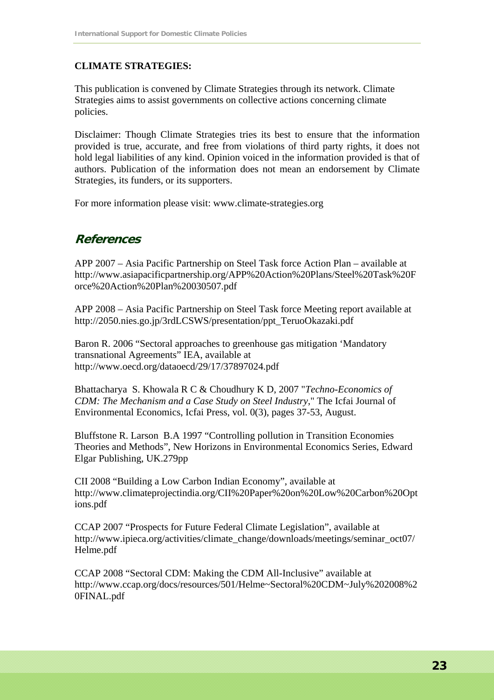### **CLIMATE STRATEGIES:**

This publication is convened by Climate Strategies through its network. Climate Strategies aims to assist governments on collective actions concerning climate policies.

Disclaimer: Though Climate Strategies tries its best to ensure that the information provided is true, accurate, and free from violations of third party rights, it does not hold legal liabilities of any kind. Opinion voiced in the information provided is that of authors. Publication of the information does not mean an endorsement by Climate Strategies, its funders, or its supporters.

For more information please visit: www.climate-strategies.org

### **References**

APP 2007 – Asia Pacific Partnership on Steel Task force Action Plan – available at http://www.asiapacificpartnership.org/APP%20Action%20Plans/Steel%20Task%20F orce%20Action%20Plan%20030507.pdf

APP 2008 – Asia Pacific Partnership on Steel Task force Meeting report available at http://2050.nies.go.jp/3rdLCSWS/presentation/ppt\_TeruoOkazaki.pdf

Baron R. 2006 "Sectoral approaches to greenhouse gas mitigation 'Mandatory transnational Agreements" IEA, available at http://www.oecd.org/dataoecd/29/17/37897024.pdf

Bhattacharya S. Khowala R C & Choudhury K D, 2007 "*Techno-Economics of CDM: The Mechanism and a Case Study on Steel Industry*," The Icfai Journal of Environmental Economics, Icfai Press, vol. 0(3), pages 37-53, August.

Bluffstone R. Larson B.A 1997 "Controlling pollution in Transition Economies Theories and Methods", New Horizons in Environmental Economics Series, Edward Elgar Publishing, UK.279pp

CII 2008 "Building a Low Carbon Indian Economy", available at http://www.climateprojectindia.org/CII%20Paper%20on%20Low%20Carbon%20Opt ions.pdf

CCAP 2007 "Prospects for Future Federal Climate Legislation", available at http://www.ipieca.org/activities/climate\_change/downloads/meetings/seminar\_oct07/ Helme.pdf

CCAP 2008 "Sectoral CDM: Making the CDM All-Inclusive" available at http://www.ccap.org/docs/resources/501/Helme~Sectoral%20CDM~July%202008%2 0FINAL.pdf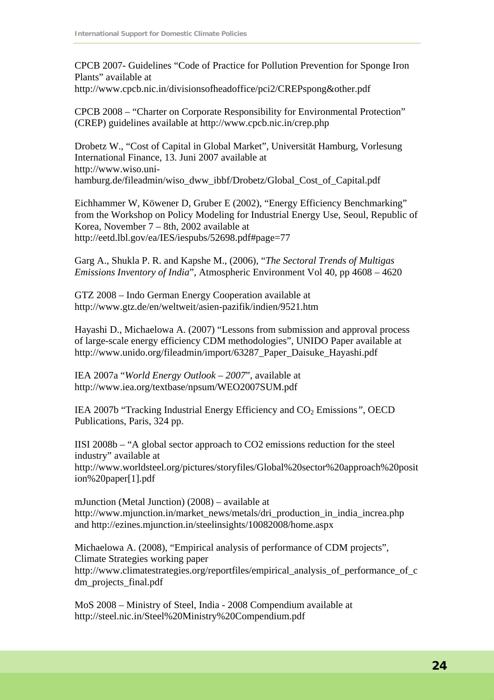CPCB 2007- Guidelines "Code of Practice for Pollution Prevention for Sponge Iron Plants" available at

http://www.cpcb.nic.in/divisionsofheadoffice/pci2/CREPspong&other.pdf

CPCB 2008 – "Charter on Corporate Responsibility for Environmental Protection" (CREP) guidelines available at http://www.cpcb.nic.in/crep.php

Drobetz W., "Cost of Capital in Global Market", Universität Hamburg, Vorlesung International Finance, 13. Juni 2007 available at http://www.wiso.unihamburg.de/fileadmin/wiso\_dww\_ibbf/Drobetz/Global\_Cost\_of\_Capital.pdf

Eichhammer W, Köwener D, Gruber E (2002), "Energy Efficiency Benchmarking" from the Workshop on Policy Modeling for Industrial Energy Use, Seoul, Republic of Korea, November 7 – 8th, 2002 available at http://eetd.lbl.gov/ea/IES/iespubs/52698.pdf#page=77

Garg A., Shukla P. R. and Kapshe M., (2006), "*The Sectoral Trends of Multigas Emissions Inventory of India*", Atmospheric Environment Vol 40, pp 4608 – 4620

GTZ 2008 – Indo German Energy Cooperation available at http://www.gtz.de/en/weltweit/asien-pazifik/indien/9521.htm

Hayashi D., Michaelowa A. (2007) "Lessons from submission and approval process of large-scale energy efficiency CDM methodologies", UNIDO Paper available at http://www.unido.org/fileadmin/import/63287\_Paper\_Daisuke\_Hayashi.pdf

IEA 2007a "*World Energy Outlook – 2007*", available at http://www.iea.org/textbase/npsum/WEO2007SUM.pdf

IEA 2007b "Tracking Industrial Energy Efficiency and CO2 Emissions*"*, OECD Publications, Paris, 324 pp.

IISI 2008b – "A global sector approach to CO2 emissions reduction for the steel industry" available at http://www.worldsteel.org/pictures/storyfiles/Global%20sector%20approach%20posit ion%20paper[1].pdf

mJunction (Metal Junction) (2008) – available at http://www.mjunction.in/market\_news/metals/dri\_production\_in\_india\_increa.php and http://ezines.mjunction.in/steelinsights/10082008/home.aspx

Michaelowa A. (2008), "Empirical analysis of performance of CDM projects", Climate Strategies working paper http://www.climatestrategies.org/reportfiles/empirical\_analysis\_of\_performance\_of\_c dm\_projects\_final.pdf

MoS 2008 – Ministry of Steel, India - 2008 Compendium available at http://steel.nic.in/Steel%20Ministry%20Compendium.pdf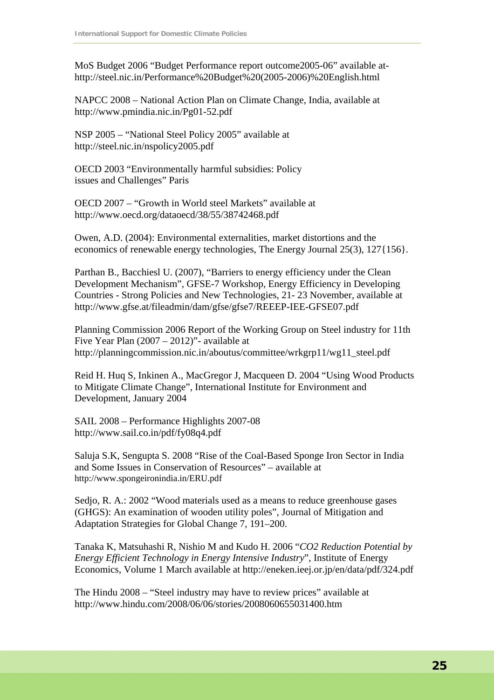MoS Budget 2006 "Budget Performance report outcome2005-06" available athttp://steel.nic.in/Performance%20Budget%20(2005-2006)%20English.html

NAPCC 2008 – National Action Plan on Climate Change, India, available at http://www.pmindia.nic.in/Pg01-52.pdf

NSP 2005 – "National Steel Policy 2005" available at http://steel.nic.in/nspolicy2005.pdf

OECD 2003 "Environmentally harmful subsidies: Policy issues and Challenges" Paris

OECD 2007 – "Growth in World steel Markets" available at http://www.oecd.org/dataoecd/38/55/38742468.pdf

Owen, A.D. (2004): Environmental externalities, market distortions and the economics of renewable energy technologies, The Energy Journal 25(3), 127{156}.

Parthan B., Bacchiesl U. (2007), "Barriers to energy efficiency under the Clean Development Mechanism", GFSE-7 Workshop, Energy Efficiency in Developing Countries - Strong Policies and New Technologies, 21- 23 November, available at http://www.gfse.at/fileadmin/dam/gfse/gfse7/REEEP-IEE-GFSE07.pdf

Planning Commission 2006 Report of the Working Group on Steel industry for 11th Five Year Plan (2007 – 2012)"- available at http://planningcommission.nic.in/aboutus/committee/wrkgrp11/wg11\_steel.pdf

Reid H. Huq S, Inkinen A., MacGregor J, Macqueen D. 2004 "Using Wood Products to Mitigate Climate Change", International Institute for Environment and Development, January 2004

SAIL 2008 – Performance Highlights 2007-08 http://www.sail.co.in/pdf/fy08q4.pdf

Saluja S.K, Sengupta S. 2008 "Rise of the Coal-Based Sponge Iron Sector in India and Some Issues in Conservation of Resources" – available at http://www.spongeironindia.in/ERU.pdf

Sedjo, R. A.: 2002 "Wood materials used as a means to reduce greenhouse gases (GHGS): An examination of wooden utility poles", Journal of Mitigation and Adaptation Strategies for Global Change 7, 191–200.

Tanaka K, Matsuhashi R, Nishio M and Kudo H. 2006 "*CO2 Reduction Potential by Energy Efficient Technology in Energy Intensive Industry*", Institute of Energy Economics, Volume 1 March available at http://eneken.ieej.or.jp/en/data/pdf/324.pdf

The Hindu 2008 – "Steel industry may have to review prices" available at http://www.hindu.com/2008/06/06/stories/2008060655031400.htm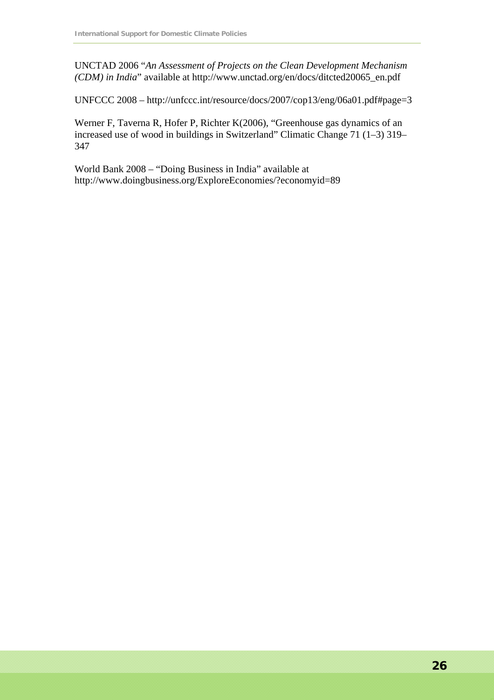UNCTAD 2006 "*An Assessment of Projects on the Clean Development Mechanism (CDM) in India*" available at http://www.unctad.org/en/docs/ditcted20065\_en.pdf

UNFCCC 2008 – http://unfccc.int/resource/docs/2007/cop13/eng/06a01.pdf#page=3

Werner F, Taverna R, Hofer P, Richter K(2006), "Greenhouse gas dynamics of an increased use of wood in buildings in Switzerland" Climatic Change 71 (1–3) 319– 347

World Bank 2008 – "Doing Business in India" available at http://www.doingbusiness.org/ExploreEconomies/?economyid=89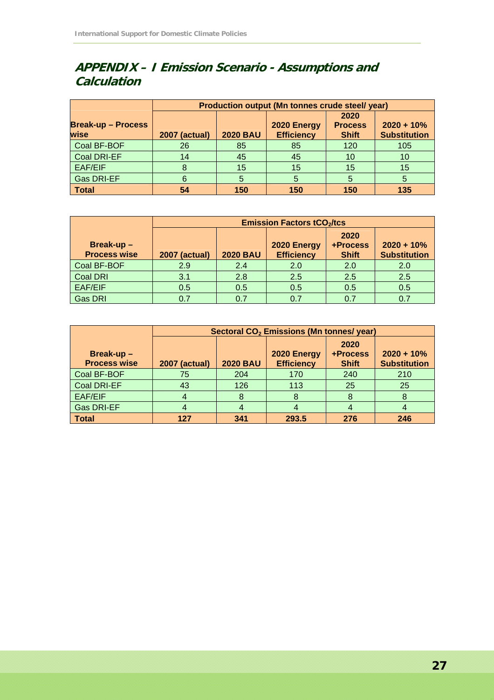# **APPENDIX – I Emission Scenario - Assumptions and Calculation**

|                                   | Production output (Mn tonnes crude steel/ year) |                 |                                  |                                        |                                     |  |
|-----------------------------------|-------------------------------------------------|-----------------|----------------------------------|----------------------------------------|-------------------------------------|--|
| <b>Break-up - Process</b><br>wise | <b>2007 (actual)</b>                            | <b>2020 BAU</b> | 2020 Energy<br><b>Efficiency</b> | 2020<br><b>Process</b><br><b>Shift</b> | $2020 + 10%$<br><b>Substitution</b> |  |
| Coal BF-BOF                       | 26                                              | 85              | 85                               | 120                                    | 105                                 |  |
| <b>Coal DRI-EF</b>                | 14                                              | 45              | 45                               | 10                                     | 10                                  |  |
| EAF/EIF                           |                                                 | 15              | 15                               | 15                                     | 15                                  |  |
| <b>Gas DRI-EF</b>                 | 6                                               |                 | 5                                | 5                                      | 5                                   |  |
| <b>Total</b>                      | 54                                              | 150             | 150                              | 150                                    | 135                                 |  |

|                                     | <b>Emission Factors tCO<sub>2</sub>/tcs</b> |                 |                                  |                                  |                                     |  |
|-------------------------------------|---------------------------------------------|-----------------|----------------------------------|----------------------------------|-------------------------------------|--|
| Break-up $-$<br><b>Process wise</b> | <b>2007 (actual)</b>                        | <b>2020 BAU</b> | 2020 Energy<br><b>Efficiency</b> | 2020<br>+Process<br><b>Shift</b> | $2020 + 10%$<br><b>Substitution</b> |  |
| Coal BF-BOF                         | 2.9                                         | 2.4             | 2.0                              | 2.0                              | 2.0                                 |  |
| <b>Coal DRI</b>                     | 3.1                                         | 2.8             | 2.5                              | 2.5                              | 2.5                                 |  |
| EAF/EIF                             | 0.5                                         | 0.5             | 0.5                              | 0.5                              | 0.5                                 |  |
| <b>Gas DRI</b>                      | 0.7                                         |                 | 0.7                              | ሰ 7                              | 0.7                                 |  |

|                                  | Sectoral CO <sub>2</sub> Emissions (Mn tonnes/ year) |                 |                                  |                                  |                                     |
|----------------------------------|------------------------------------------------------|-----------------|----------------------------------|----------------------------------|-------------------------------------|
| Break-up-<br><b>Process wise</b> | <b>2007 (actual)</b>                                 | <b>2020 BAU</b> | 2020 Energy<br><b>Efficiency</b> | 2020<br>+Process<br><b>Shift</b> | $2020 + 10%$<br><b>Substitution</b> |
| Coal BF-BOF                      | 75                                                   | 204             | 170                              | 240                              | 210                                 |
| <b>Coal DRI-EF</b>               | 43                                                   | 126             | 113                              | 25                               | 25                                  |
| <b>EAF/EIF</b>                   |                                                      |                 | 8                                |                                  | 8                                   |
| <b>Gas DRI-EF</b>                |                                                      |                 |                                  |                                  |                                     |
| <b>Total</b>                     | 127                                                  | 341             | 293.5                            | 276                              | 246                                 |